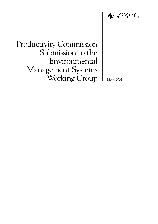

**Productivity Commission** Submission to the Environmental Management Systems Working Group

**March 2002**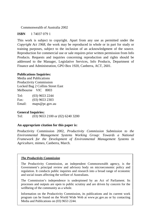Commonwealth of Australia 2002

#### **ISBN** 1 74037 079 1

This work is subject to copyright. Apart from any use as permitted under the *Copyright Act 1968*, the work may be reproduced in whole or in part for study or training purposes, subject to the inclusion of an acknowledgment of the source. Reproduction for commercial use or sale requires prior written permission from Info Products. Requests and inquiries concerning reproduction and rights should be addressed to the Manager, Legislative Services, Info Products, Department of Finance and Administration, GPO Box 1920, Canberra, ACT, 2601.

#### **Publications Inquiries:**

Media and Publications Productivity Commission Locked Bag 2 Collins Street East Melbourne VIC 8003

| Tel:   | $(03)$ 9653 2244 |
|--------|------------------|
| Fax:   | $(03)$ 9653 2303 |
| Email: | maps@pc.gov.au   |

#### **General Inquiries:**

Tel: (03) 9653 2100 or (02) 6240 3200

#### **An appropriate citation for this paper is:**

Productivity Commission 2002, *Productivity Commission Submission to the Environmental Management Systems Working Group: Towards a National Framework for the Development of Environmental Management Systems in Agriculture*, mimeo, Canberra, March.

#### *The Productivity Commission*

The Productivity Commission, an independent Commonwealth agency, is the Government's principal review and advisory body on microeconomic policy and regulation. It conducts public inquiries and research into a broad range of economic and social issues affecting the welfare of Australians.

The Commission's independence is underpinned by an Act of Parliament. Its processes and outputs are open to public scrutiny and are driven by concern for the wellbeing of the community as a whole.

Information on the Productivity Commission, its publications and its current work program can be found on the World Wide Web at www.pc.gov.au or by contacting Media and Publications on (03) 9653 2244.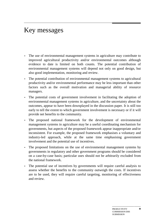# Key messages

- The use of environmental management systems in agriculture may contribute to improved agricultural productivity and/or environmental outcomes although evidence to date is limited on both counts. The potential contribution of environmental management systems will depend not only on good design, but also good implementation, monitoring and review.
- The potential contribution of environmental management systems to agricultural productivity and/or environmental performance may be less important than other factors such as the overall motivation and managerial ability of resource managers.
- The potential costs of government involvement in facilitating the adoption of environmental management systems in agriculture, and the uncertainty about the outcomes, appear to have been downplayed in the discussion paper. It is still too early to tell the extent to which government involvement is necessary or if it will provide net benefits to the community.
- The proposed national framework for the development of environmental management systems in agriculture may be a useful coordinating mechanism for governments, but aspects of the proposed framework appear inappropriate and/or inconsistent. For example, the proposed framework emphasises a voluntary and industry-led approach, while at the same time emphasising government involvement and the potential use of incentives.
- The proposed limitations on the use of environmental management systems by governments in regulatory and other government programs should be considered on a case-by-case basis; particular uses should not be arbitrarily excluded from the national framework.
- The potential use of incentives by governments will require careful analysis to assess whether the benefits to the community outweigh the costs. If incentives are to be used, they will require careful targeting, monitoring of effectiveness and review.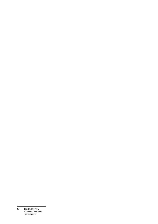PRODUCTIVITY COMMISSION EMS SUBMISSION **IV**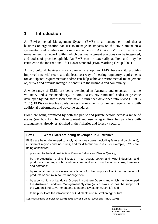# **1 Introduction**

An Environmental Management System (EMS) is a management tool that a business or organisation can use to manage its impacts on the environment on a systematic and continuous basis (see appendix A). An EMS can provide a management framework within which best management practices can be integrated, and codes of practice upheld. An EMS can be externally audited and may be certified to the international ISO 14001 standard (EMS Working Group 2001).

An agricultural business may voluntarily adopt an EMS because it: provides improved financial returns; is the least cost way of meeting regulatory requirements (or anticipated requirements); and/or can help achieve environmental management objectives and provide intangible benefits to the business and community.

A wide range of EMSs are being developed in Australia and overseas — some voluntary and some mandatory. In some cases, environmental codes of practice developed by industry associations have in turn been developed into EMSs (RIRDC 2001). EMSs can involve solely process requirements, or process requirements with additional performance and outcome standards.

EMSs are being promoted by both the public and private sectors across a range of scales (see box 1). Their development and use in agriculture has parallels with arrangements already established in the fisheries and forestry sectors.

### Box 1 **What EMSs are being developed in Australia?**

EMSs are being developed to apply at various scales (including farm and catchment), in different regions and industries, and for different purposes. For example, EMSs are being considered:

- pursuant to the National Action Plan on Salinity and Water Quality;
- by the Australian grains, livestock, rice, sugar, cotton and wine industries, and producers of a range of horticultural commodities such as bananas, citrus, tomatoes and potatoes;
- by regional groups in several jurisdictions for the purpose of regional marketing of products or natural resource management;
- by a consortium of Landcare Groups in southern Queensland which has developed the Australian Landcare Management System (which now also has the support of the Queensland Government and Meat and Livestock Australia); and
- to help facilitate the introduction of GM plants into Australian agriculture.

Sources: Douglas and Gleeson (2001); EMS Working Group (2001); and RIRDC (2001).

**1**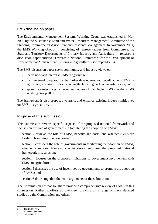### **EMS discussion paper**

The Environmental Management Systems Working Group was established in May 2000 by the Sustainable Land and Water Resources Management Committee of the Standing Committee on Agriculture and Resource Management. In November 2001, the EMS Working Group  $\sim$  consisting of representatives from Commonwealth, State and Territory Departments of Primary Industry and Agriculture — released a discussion paper entitled 'Towards a National Framework for the Development of Environmental Management Systems in Agriculture' (see appendix B).

The EMS discussion paper seeks community and industry views on:

- the value of and interest in EMS in agriculture;
- the framework proposed for the further development and coordination of EMS in agriculture, at various scales, including the farm, regional and industry scales; and
- appropriate roles for government and industry in facilitating EMS adoption (EMS Working Group 2001, p. 9).

The framework is also proposed to assist and enhance existing industry initiatives on EMS in agriculture.

### **Purpose of this submission**

This submission reviews specific aspects of the proposed national framework and focuses on the role of governments in facilitating the adoption of EMSs:

- section 2 reviews the role of EMSs, benefits and costs, and whether EMSs are likely to bring improved outcomes;
- section 3 considers the role of governments in facilitating the adoption of EMSs, whether a national framework is necessary and how the proposed national framework measures up;
- section 4 focuses on the proposed limitations to government involvement with EMSs in agriculture;
- section 5 discusses the use of incentives by governments to promote the adoption of EMSs; and
- section 6 draws together the main arguments of the submission.

The Commission has not sought to provide a comprehensive review of EMSs in this submission. Rather, it offers an overview, drawing on a range of more detailed studies by the Commission and others.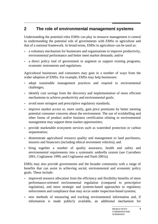# **2 The role of environmental management systems**

Understanding the potential roles EMSs can play in resource management is central to understanding the potential role of governments with EMSs in agriculture and that of a national framework. In broad terms, EMSs in agriculture can be used as:

- a voluntary mechanism for businesses and organisations to improve productivity, environmental performance and better meet market demands; and/or
- a direct policy tool of government to augment or support existing programs, economic instruments and regulations.

Agricultural businesses and consumers may gain in a number of ways from the wider adoption of EMSs. For example, EMSs may help businesses:

- adopt sustainable management practices and respond to environmental challenges;
- identify cost savings from the discovery and implementation of more efficient mechanisms to achieve productivity and environmental goals;
- avoid more stringent and prescriptive regulatory standards;
- improve market access or, more rarely, gain price premiums by better meeting potential consumer concerns about the environment. The use of ecolabelling and other forms of product and/or business certification relating to environmental management may support these market opportunities;
- provide marketable ecosystem services such as watershed protection or carbon sequestration;
- demonstrate agricultural resource quality and management to land purchasers, insurers and financiers (including ethical investment vehicles); and
- bring together a number of quality assurance, health and safety and environmental requirements into a systematic umbrella system (see Carruthers 2001; Coglianese 1999; and Coglianese and Nash 2001a).

EMSs may also provide governments and the broader community with a range of benefits that can assist in achieving social, environmental and economic policy goals. These include:

- improved resource allocation from the efficiency and flexibility benefits of more performance-oriented environmental regulation (compared to prescriptive regulation), and more strategic and systems-based approaches to regulatory enforcement and compliance than may occur under inspection-based systems;
- new methods of measuring and tracking environmental information and, if information is made publicly available, an additional mechanism for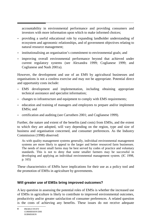accountability in environmental performance and providing consumers and investors with more information upon which to make informed choices;

- providing a useful educational role by expanding landholder understanding of ecosystem and agronomic relationships, and of government objectives relating to natural resource management;
- institutionalising an organisation's commitment to environmental goals; and
- improving overall environmental performance beyond that achieved under current regulatory systems (see Alexandra 1999; Coglianese 1999; and Coglianese and Nash 2001a).

However, the development and use of an EMS by agricultural businesses and organisations is not a costless exercise and may not be appropriate. Potential direct and opportunity costs include:

- EMS development and implementation, including obtaining appropriate technical assistance and specialist information;
- changes to infrastructure and equipment to comply with EMS requirements;
- education and training of managers and employees to prepare and/or implement EMSs; and
- certification and auditing (see Carruthers 2001; and Coglianese 1999).

Further, the nature and extent of the benefits (and costs) from EMSs, and the extent to which they are adopted, will vary depending on the region, type and size of business and organisation concerned, and consumer preferences. As the Industry Commission (1998) observed:

As with quality management systems generally, individual environmental management systems are more likely to appeal to the larger and better resourced farm businesses. The needs of most small farms may be best served by codes of practice and voluntary standards. This is not to deny that some smaller farmers may be successful in developing and applying an individual environmental management system. (IC 1998, p. 165)

These characteristics of EMSs have implications for their use as a policy tool and the promotion of EMSs in agriculture by governments.

### **Will greater use of EMSs bring improved outcomes?**

A key question in assessing the potential roles of EMSs is whether the increased use of EMSs in agriculture is likely to contribute to improved environmental outcomes, productivity and/or greater satisfaction of consumer preferences. A related question is the costs of achieving any benefits. These issues do not receive adequate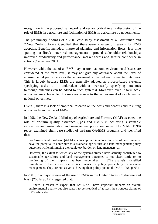recognition in the proposed framework and yet are critical to any discussion of the role of EMSs in agriculture and facilitation of EMSs in agriculture by governments.

The preliminary findings of a 2001 case study assessment of 45 Australian and 7 New Zealand farms identified that there were a range of reasons for EMS adoption. Benefits included: improved planning and information flows; less time 'putting out fires'; better risk management; improved stakeholder relationships; improved productivity and performance; market access and greater confidence in actions (Carruthers 2001).

However, while the use of an EMS may ensure that some environmental issues are considered at the farm level, it may not give any assurance about the level of environmental performance or the achievement of desired environmental outcomes. This is largely because EMSs are generally adopted as process-based systems, specifying tasks to be undertaken without necessarily specifying outcomes (although outcomes can be added to such systems). Moreover, even if farm scale outcomes are achievable, this may not equate to the achievement of catchment or national objectives.

Overall, there is a lack of empirical research on the costs and benefits and resulting outcomes from the use of EMSs.

In 1998, the New Zealand Ministry of Agriculture and Forestry (MAF) assessed the role of on-farm quality assurance (QA) and EMSs in achieving sustainable agriculture and sustainable land management policy outcomes. The MAF (1998) report examined eight case studies of on-farm QA/EMS programs and identified that:

For Government, on-farm QA/EM systems applied in a coherent, co-ordinated manner, have the potential to contribute to sustainable agriculture and land management policy outcomes while minimising the regulatory burden on land managers. …

However, the extent to which any of the systems studied have actually contributed to sustainable agriculture and land management outcomes is not clear. Little or no monitoring of their impacts has been undertaken. … [The analysis] identified limitations to their current use as instruments for policy, particularly for resource management. They are not, as yet, achieving their policy potential. (MAF 1998, p. 63)

In 2001, in a major review of the use of EMSs in the United States, Coglianese and Nash (2001a, p. 19) suggested that:

… there is reason to expect that EMSs will have important impacts on overall environmental quality but also reason to be skeptical of at least the strongest claims of EMS advocates.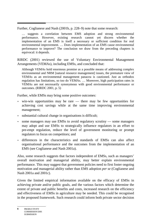Further, Coglianese and Nash (2001b, p. 228–9) note that some research:

… suggests a correlation between EMS adoption and strong environmental performance. However, existing research cannot yet discern whether the implementation of an EMS is itself a necessary or sufficient condition for real environmental improvement. … Does implementation of an EMS cause environmental performance to improve? The conclusion we draw from the preceding chapters is equivocal: it depends.

RIRDC (2001) reviewed the use of Voluntary Environmental Management Arrangements (VEMAs), including EMSs, and concluded that:

Although VEMAs hold enormous promise as a possible means of addressing complex environmental and NRM [natural resource management] issues, the premature view of VEMAs as an environmental management panacea is cautioned. Just as orthodox regulation has limitations, so too do VEMAs. … Moreover, high participation rates in VEMAs are not necessarily synonymous with good environmental performance or outcomes. (RIRDC 2001, p. 5)

Further, while EMSs may bring some positive outcomes:

- win-win opportunities may be rare there may be few opportunities for achieving cost savings while at the same time improving environmental management;
- substantial cultural change in organisations is difficult;
- some managers may use EMSs to avoid regulatory scrutiny some managers may adopt and use EMSs to strategically influence regulators in an effort to pre-empt regulation, reduce the level of government monitoring or prompt regulators to focus on competitors; and
- differences in the characteristics and standards of EMSs can also affect organisational performance and the outcomes from the implementation of an EMS (see Coglianese and Nash 2001a).

Also, some research suggests that factors independent of EMSs, such as managers' overall motivation and managerial ability, may better explain environmental performance. This may suggest that government policies need to first foster ongoing motivation and managerial ability rather than EMS adoption *per se* (Coglianese and Nash 2001a and 2001c).

Given the limited empirical information available on the efficacy of EMSs in achieving private and/or public goals, and the various factors which determine the extent of private and public benefits and costs, increased research on the efficiency and effectiveness of EMSs in agriculture may be needed. This could be recognised in the proposed framework. Such research could inform both private sector decision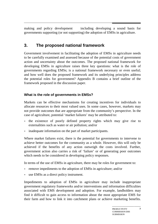making and policy development — including developing a sound basis for governments supporting (or not supporting) the adoption of EMSs in agriculture.

# **3. The proposed national framework**

Government involvement in facilitating the adoption of EMSs in agriculture needs to be carefully examined and assessed because of the potential costs of government action and uncertainty about the outcomes. The proposed national framework for developing EMSs in agriculture raises three key questions: what is the role of governments regarding EMSs; is a national framework necessary or even useful; and how well does the proposed framework and its underlying principles address the potential roles for government? Appendix B contains a brief outline of the framework proposed in the discussion paper.

### **What is the role of governments in EMSs?**

Markets can be effective mechanisms for creating incentives for individuals to allocate resources to their most valued uses. In some cases, however, markets may not provide outcomes that are appropriate from the community's perspective. In the case of agriculture, potential 'market failures' may be attributed to:

- the existence of poorly defined property rights which may give rise to externalities such as water or air pollution; and/or
- inadequate information on the part of market participants.

Where market failures exist, there is the potential for governments to intervene to achieve better outcomes for the community as a whole. However, this will only be achieved if the benefits of any action outweigh the costs involved. Further, government action also carries a risk of 'failure' or of generating poor outcomes which needs to be considered in developing policy responses.

In terms of the use of EMSs in agriculture, there may be roles for government to:

- remove impediments to the adoption of EMSs in agriculture; and/or
- use EMSs as a direct policy instrument.

Impediments to adoption of EMSs in agriculture may include inappropriate government regulatory frameworks and/or interventions and information difficulties associated with EMS development and adoption. For example, landholders may find it difficult to gain access to information about the most appropriate EMS for their farm and how to link it into catchment plans or achieve marketing benefits.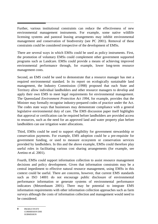Further, various institutional constraints can reduce the effectiveness of new environmental management instruments. For example, some native wildlife licensing systems and pastoral leasing arrangements may inhibit environmental management and conservation of biodiversity (see PC 2001). Removal of these constraints could be considered irrespective of the development of EMSs.

There are several ways in which EMSs could be used as policy instruments. First, the promotion of voluntary EMSs could complement other government supported programs such as Landcare. EMSs could provide a means of achieving improved environmental performance through, for example, lower long-term resource management costs.

Second, an EMS could be used to demonstrate that a resource manager has met a required environmental standard. In its report on ecologically sustainable land management, the Industry Commission (1998) proposed that each State and Territory allow individual landholders and other resource managers to develop and apply their own EMS to meet legal requirements for environmental management. The Queensland *Environment Protection Act 1994*, for example, provides that the Minister may formally recognise industry-prepared codes of practice under the Act. The codes state ways that businesses may demonstrate compliance with a general legislative environmental duty of care. The EMS discussion paper itself highlights that approval or certification can be required before landholders are provided access to resources, such as the need for an approved land and water property plan before landholders can use irrigation water allocations.

Third, EMSs could be used to support eligibility for government stewardship or conservation payments. For example, EMS adoption could be a pre-requisite for government funding, or used to measure ecosystem or conservation services provided by landholders. In this and the above example, EMSs could therefore play useful roles in facilitating various cost sharing arrangements (for example, see Aretino et al. 2001).

Fourth, EMSs could support information collection to assist resource management decisions and policy development. Given that information constraints may be a central impediment to effective natural resource management, using EMSs in this context could be useful. There are concerns, however, that current EMS standards such as ISO 14001 do not encourage public disclosure of environmental performance information or generate systems of environmental performance indicators (Metzenbaum 2001). There may be potential to integrate EMS information requirements with other information collection approaches such as farm surveys although the costs of information collection and management would need to be considered.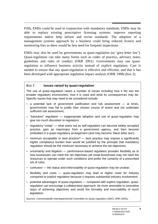Fifth, EMSs could be used in conjunction with mandatory standards. EMSs may be able to replace existing prescriptive licensing systems, improve reporting requirements and/or help inform and revise standards. The adoption of a management systems approach by a business could bring reduced licence and monitoring fees as there would be less need for frequent inspections.

EMSs may also be used by governments as quasi-regulation (or 'grey-letter law'). Quasi-regulation can take many forms such as codes of practice, advisory notes, guidelines and rules of conduct (ORR 2001). Governments may use quasiregulation to influence business activity instead of explicit regulation. Care is needed to ensure that any quasi-regulation is effective and efficient, and that it has been developed with appropriate regulation impact analysis (ORR 1998) (box 2).

#### Box 2 **Issues raised by quasi-regulation**

The use of quasi-regulation raises a number of issues including how it fits into the broader regulatory environment, how it is used and what its consequences may be. Specific issues that may need to be considered include:

- a potential lack of government justification and risk assessment at times, governments may fail to justify their chosen course of action and not undertake sufficient risk assessment;
- "backdoor" regulation inappropriate adoption and use of quasi-regulation may give too much discretion to regulators;
- regulatory "creep" what starts out as self-regulation can become widely accepted practice, gain an imprimatur from a government agency, and then become embodied in a quasi-regulatory arrangement (and may become 'black letter law');
- minimum acceptable or best practice? best practice may impose a significantly higher compliance burden than would be justified by the principle that mandatory regulation should be the minimum necessary to achieve the set objectives;
- uncertainty and litigation performance-based regulation provides flexibility as to how businesses can meet the set objectives yet small businesses may not have the resources to operate under such conditions and prefer the certainty of a prescribed set of rules;
- confusion the status and enforceability of quasi-regulation may be unclear;
- flexibility and costs quasi-regulation may lead to higher costs for industry compared to explicit regulation because it requires substantial industry involvement;
- potential advantages of quasi-regulation compared with explicit regulation, quasiregulation can encourage a collaborative approach, be more amenable to innovative ways of achieving objectives and avoid the formality and inscrutability of much legislation.

Sources: Commonwealth Interdepartmental Committee on Quasi-regulation (1997); ORR (2001).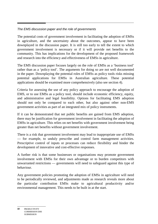### The EMS discussion paper and the role of governments

The potential costs of government involvement in facilitating the adoption of EMSs in agriculture, and the uncertainty about the outcomes, appear to have been downplayed in the discussion paper. It is still too early to tell the extent to which government involvement is necessary or if it will provide net benefits to the community. This has implications for the development of the proposed framework and research into the efficiency and effectiveness of EMSs in agriculture.

The EMS discussion paper focuses largely on the role of EMSs as a 'business tool' rather than as a 'policy tool'. The arguments for doing so are not well documented in the paper. Downplaying the potential roles of EMSs as policy tools risks missing potential applications for EMSs in Australian agriculture. These potential applications should be examined more comprehensively (also see section 4).

Criteria for assessing the use of any policy approach to encourage the adoption of EMS, or to use EMSs as a policy tool, should include economic efficiency, equity, and administrative and legal feasibility. Options for facilitating EMS adoption should not only be compared to each other, but also against other non-EMS government activities as part of an integrated mix of policy instruments.

If it can be demonstrated that net public benefits are gained from EMS adoption, there may be justification for government involvement in facilitating the adoption of EMSs in agriculture. This relies on net benefits with government involvement being greater than net benefits without government involvement.

There is a risk that government involvement may lead to inappropriate use of EMSs — for example, to unduly prescribe and control farm management activities. Prescriptive control of inputs or processes can reduce flexibility and hinder the development of innovative and cost-effective responses.

A further risk is that some businesses or organisations may promote government involvement with EMSs for their own advantage or to burden competitors with unwarranted restrictions — governments will need to safeguard against this type of behaviour.

Any government policies promoting the adoption of EMSs in agriculture will need to be periodically reviewed, and adjustments made as research reveals more about the particular contribution EMSs make to agricultural productivity and/or environmental management. This needs to be built in at the start.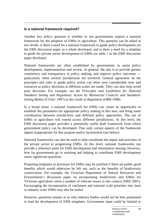### **Is a national framework required?**

Another key policy question is whether or not governments require a national framework for the adoption of EMSs in agriculture. This question can be asked at two levels: is there a need for a national framework to guide policy development (as the EMS discussion paper as a whole develops); and is there a need for a template to guide the private sector development of EMSs (as table 1 in the EMS discussion paper develops).

National frameworks are often established by governments to assist policy development, implementation and review. In general, the aim is to provide greater consistency and transparency in policy making, and improve policy outcomes particularly when several jurisdictions are involved. General agreement on the principles and rules to guide policy action can often save considerable time and resources as policy decisions at different scales are made. They can also help avoid poor decisions. For example, see the *Principles and Guidelines for National Standard Setting and Regulatory Action by Ministerial Councils and Standard-Setting Bodies* (COAG 1997) or the *Guide to Regulation* (ORR 1998).

In a broad sense, a national framework for EMSs can create an opportunity to establish the parameters for appropriate policy making in this area, and bring some coordination between jurisdictions and different policy approaches. The use of EMSs in agriculture will extend across different jurisdictions. At this level, the EMS discussion paper provides a potentially useful draft framework from which government policy can be developed. That said, certain aspects of the framework appear inappropriate for that purpose and/or inconsistent (see below).

National frameworks can also be used to help coordinate the inputs and activities of the private sector in progressing EMSs. At this level, national frameworks can provide a reference point for EMS development and information sharing. However, how far governments go in assisting and helping to coordinate EMS development raises significant questions.

Proposing templates or processes for EMSs may be justified if there are public good benefits which would otherwise be left out, such as the benefits of biodiversity conservation. For example, the Victorian Department of Natural Resources and Environment's discussion paper on incorporating biodiversity into EMSs for Victorian agriculture raises a number of relevant issues in this context (NRE 2001). Encouraging the incorporation of catchment and national scale priorities into farm or industry scale EMSs may also be useful.

However, questions remain as to why industry bodies would not be best positioned to lead the development of EMS templates. Government input could be limited to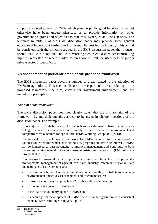support the development of EMSs which provide public good benefits that might otherwise have been underemphasised, or to provide information on other government programs and objectives to maximise synergies and consistencies. The template in table 1 of the EMS discussion paper may provide some general educational benefit, but further work on it may be best led by industry. This would be consistent with the principle argued in the EMS discussion paper that industry should lead EMS adoption. The EMS Working Group could consider contributing input as requested or where market failures would limit the usefulness of purely private sector driven EMSs.

### **An assessment of particular areas of the proposed framework**

The EMS discussion paper covers a number of areas related to the adoption of EMSs in agriculture. This section discusses three particular areas relating to the proposed framework: the aim, criteria for government involvement, and the underlying principles.

#### The aim of the framework

The EMS discussion paper does not clearly state what the primary aim of the framework is, and different aims appear to be given in different sections of the discussion paper. For example:

… A major aim of this framework for EMSs is to consider mechanisms that will create linkages between the many processes already in train to achieve environmental and competitiveness outcomes for agriculture. (EMS Working Group 2001, p. 13)

The rationale for developing a framework for EMSs in agriculture is to provide a national context within which existing industry programs and growing interest in EMSs can be harnessed to best advantage to improve management and contribute to both market and environmental outcomes across industries and regions. … (EMS Working Group 2001, p. 18)

The proposed framework aims to provide a context within which to improve the environmental management of agriculture at farm, industry, catchment, regional, State and national scales. Other aims are:

- to inform industry and landholder initiatives and ensure they contribute to achieving environmental objectives set at regional and catchment scales;
- to ensure a coordinated approach to EMSs that reduces duplication;
- to maximise the benefits to landholders;
- to facilitate the voluntary uptake of EMSs; and
- to encourage the development of EMSs for Australian agriculture in a consistent manner. (EMS Working Group 2001, p. 18)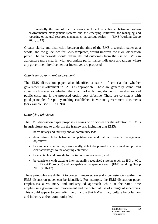… Essentially the aim of the framework is to act as a bridge between on-farm environmental management systems and the emerging initiatives for managing and reporting on natural resource management at various scales. … (EMS Working Group 2001, p. 19)

Greater clarity and distinction between the aims of the EMS discussion paper as a whole, and the guidelines for EMS templates, would improve the EMS discussion paper. The framework should define desired outcomes from the use of EMSs in agriculture more clearly, with appropriate performance indicators and targets where any government involvement or incentives are proposed.

#### Criteria for government involvement

The EMS discussion paper also identifies a series of criteria for whether government involvement in EMSs is appropriate. These are generally sound, and cover such issues as whether there is market failure, do public benefits exceed public costs and is the proposed option cost effective. These are consistent with good principles for policy making established in various government documents (for example, see ORR 1998).

#### Underlying principles

The EMS discussion paper proposes a series of principles for the adoption of EMSs in agriculture and to underpin the framework, including that EMSs:

- be voluntary and industry and/or community led;
- demonstrate links between competitiveness and natural resource management objectives;
- be simple, cost effective, user-friendly, able to be phased in at any level and provide clear advantages to the adopting enterprise;
- be adaptable and provide for continuous improvement; and
- be consistent with existing internationally recognised systems (such as ISO 14001, EUREP GAP protocol) and be capable of independent audit. (EMS Working Group 2001, p. 16-17)

These principles are difficult to contest, however, several inconsistencies within the EMS discussion paper can be identified. For example, the EMS discussion paper emphasises a voluntary and industry-led approach while at the same time emphasising government involvement and the potential use of a range of incentives. This would appear to contradict the principle that EMSs in agriculture be voluntary and industry and/or community led.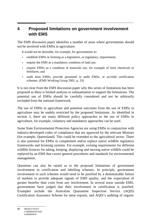# **4 Proposed limitations on government involvement with EMS**

The EMS discussion paper identifies a number of areas where governments should not be involved with EMSs in agriculture:

It would not be desirable, for example, for governments to:

- establish EMSs in farming as a legislative, or regulatory, requirement;
- require the EMS as a mandatory condition of land use;
- require EMSs as a condition of materials use, for example of farm chemicals or fertilisers; and
- audit farm EMSs, provide personnel to audit EMSs, or accredit certification schemes. (EMS Working Group 2001, p. 33)

It is not clear from the EMS discussion paper why this series of limitations has been proposed as there is limited analysis or substantiation to support the limitations. The potential use of EMSs should be carefully considered and not be arbitrarily excluded from the national framework.

The use of EMSs in agriculture and potential outcomes from the use of EMSs in agriculture may be unduly restricted by the proposed limitations. As identified in section 3, there are many different policy approaches to the use of EMSs in agriculture, for example, voluntary and mandatory approaches can be used.

Some State Environmental Protection Agencies are using EMSs in conjunction with industry-developed codes of compliance that are approved by the relevant Minister (for example, Queensland). This could be extended to the agricultural sector. There is also potential for EMSs to complement and/or replace native wildlife regulatory frameworks and licensing systems. For example, existing requirements for different wildlife licences for taking, keeping, displaying and moving native wildlife could be replaced by an EMS that covers general procedures and standards for environmental management.

Questions can also be raised as to the proposed limitations of government involvement in certification and labelling schemes. In principle, government involvement in such schemes would need to be justified by a demonstrable failure of markets to provide adequate signals of EMS quality, and the expectation of greater benefits than costs from any involvement. In several areas outside EMS, governments have judged that their involvement in certification is justified. Examples include the Australian Quarantine Inspection Service (AQIS) Certification Assurance Scheme for meat exports, and AQIS's auditing of organic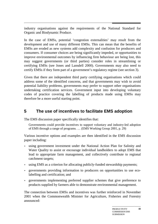industry organisations against the requirements of the National Standard for Organic and Biodynamic Produce.

In the case of EMSs, potential 'congestion externalities' may result from the development and use of many different EMSs. This can mean that the benefits of EMSs are eroded as new systems add complexity and confusion for producers and consumers. If consumer choices are being significantly impeded, or opportunities to improve environmental outcomes by influencing firm behaviour are being lost, this may suggest governments (or third parties) consider roles in streamlining or certifying EMSs (see Jones and Lansdell 2000). Governments may also need to certify EMSs if they form part of a government's regulatory regime (see section 3).

Given that there are independent third party certifying organisations which could address some of the identified concerns, and that governments may wish to avoid potential liability problems, governments may prefer to support other organisations undertaking certification services. Government input into developing voluntary codes of practice covering the labelling of products made using EMSs may therefore be a more useful starting point.

# **5 The use of incentives to facilitate EMS adoption**

The EMS discussion paper specifically identifies that:

Governments could provide incentives to support voluntary and industry-led adoption of EMS through a range of programs. … (EMS Working Group 2001, p. 29)

Various incentive options and examples are then identified in the EMS discussion paper including:

- using government investment under the National Action Plan for Salinity and Water Quality to assist or encourage individual landholders to adopt EMS that lead to appropriate farm management, and collectively contribute to regional catchment targets;
- using EMS as a criterion for allocating publicly-funded stewardship payments;
- governments providing information to producers on opportunities to use ecolabelling and certification; and
- governments implementing preferred supplier schemes that give preference to products supplied by farmers able to demonstrate environmental management.

The connection between EMSs and incentives was further reinforced in November 2001 when the Commonwealth Minister for Agriculture, Fisheries and Forestry announced: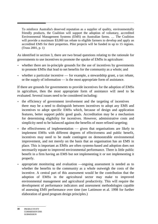To reinforce Australia's deserved reputation as a supplier of quality, environmentally friendly products, the Coalition will support the adoption of voluntary, accredited Environmental Management Systems (EMS) on Australian farms. … The Coalition will provide a maximum \$3,000 tax rebate to eligible farmers to develop and apply an accredited EMS for their properties. Pilot projects will be funded in up to 15 regions. (Truss 2001, p. 1)

As identified in section 3, there are two broad questions relating to the rationale for governments to use incentives to promote the uptake of EMSs in agriculture:

- whether there are in-principle grounds for the use of incentives by governments to promote EMSs that lead to net benefits for the community as a whole; and
- whether a particular incentive for example, a stewardship grant, a tax rebate, or the supply of information — is the most appropriate form of assistance.

If there are grounds for governments to provide incentives for the adoption of EMSs in agriculture, then the most appropriate form of assistance will need to be evaluated. Several issues need to be considered including:

- the efficiency of government involvement and the targeting of incentives there may be a need to distinguish between incentives to adopt any EMS and incentives to adopt specific EMSs which, because of design and application features, better support public good goals. Accreditation may be a mechanism for determining eligibility for incentives. However, administrative costs and simplicity need to be balanced against the benefits of more refined targeting;
- the effectiveness of implementation given that organisations are likely to implement EMSs with different degrees of effectiveness and public benefit, incentives may need to be made contingent on demonstrable environmental improvement, and not merely on the basis that an organisation has an EMS in place. This is important as EMSs are often systems-based and adoption does not necessarily equate to improved environmental performance. There is little public benefit in a firm having an EMS but not implementing it or not implementing it properly.
- appropriate monitoring and evaluation —ongoing assessment is needed as to whether the benefits to the community as a whole outweigh the costs of the incentive. A central part of this assessment would be the contribution that the adoption of EMSs in the agricultural sector may make to improved environmental management and agricultural productivity. This will require the development of performance indicators and assessment methodologies capable of assessing EMS performance over time (see Lattimore et al. 1998 for further elaboration of good program design principles.)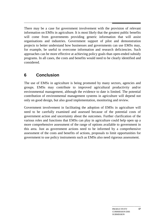There may be a case for government involvement with the provision of relevant information on EMSs in agriculture. It is most likely that the greatest public benefits will come from governments providing generic information that will assist organisations and industries. Government support of pilot and demonstration projects to better understand how businesses and governments can use EMSs may, for example, be useful to overcome information and research deficiencies. Such approaches can be more effective at achieving policy goals than open-ended subsidy programs. In all cases, the costs and benefits would need to be clearly identified and considered.

# **6 Conclusion**

The use of EMSs in agriculture is being promoted by many sectors, agencies and groups. EMSs may contribute to improved agricultural productivity and/or environmental management, although the evidence to date is limited. The potential contribution of environmental management systems in agriculture will depend not only on good design, but also good implementation, monitoring and review.

Government involvement in facilitating the adoption of EMSs in agriculture will need to be carefully examined and assessed because of the potential costs of government action and uncertainty about the outcomes. Further clarification of the various roles and functions that EMSs can play in agriculture could help open up a more comprehensive assessment of the range of options available to government in this area. Just as government actions need to be informed by a comprehensive assessment of the costs and benefits of actions, proposals to limit opportunities for government to use policy instruments such as EMSs also need rigorous assessment.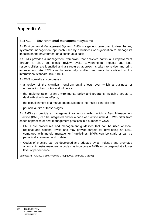# **Appendix A**

#### Box A.1 **Environmental management systems**

An Environmental Management System (EMS) is a generic term used to describe any systematic management approach used by a business or organisation to manage its impacts on the environment on a continuous basis.

An EMS provides a management framework that achieves continuous improvement through a 'plan, do, check, review' cycle. Environmental impacts and legal responsibilities are identified and a structured approach is taken to review and bring improvement. An EMS can be externally audited and may be certified to the international standard, ISO 14001.

An EMS normally encompasses:

- a review of the significant environmental effects over which a business or organisation has control and influence;
- the implementation of an environmental policy and programs, including targets to deal with significant effects;
- the establishment of a management system to internalise controls; and
- periodic audits of these stages.

An EMS can provide a management framework within which a Best Management Practice (BMP) can be integrated and/or a code of practice upheld. EMSs differ from codes of practice or best management practices in a number of ways:

- BMPs are procedures and management guidelines that can be used at local, regional and national levels and may provide targets for developing an EMS, compared with merely 'management' guidelines. BMPs can be static or can be periodically reviewed and updated.
- Codes of practice can be developed and adopted by an industry and promoted amongst industry members. A code may incorporate BMPs or be targeted at a lower level of performance.

Sources: AFFA (2002); EMS Working Group (2001) and OECD (1998).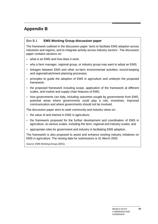# **Appendix B**

#### Box B.1 **EMS Working Group discussion paper**

The framework outlined in the discussion paper 'aims to facilitate EMS adoption across industries and regions, and to integrate activity across industry sectors'. The discussion paper contains sections on:

- what is an EMS and how does it work;
- why a farm manager, regional group, or industry group may want to adopt an EMS;
- linkages between EMS and other on-farm environmental activities, record-keeping and regional/catchment planning processes;
- principles to guide the adoption of EMS in agriculture and underpin the proposed framework;
- the proposed framework including scope, application of the framework at different scales, and market and supply chain features of EMS;
- how governments can help, including outcomes sought by governments from EMS, potential areas where governments could play a role, incentives, improved communication and where governments should not be involved.

The discussion paper aims to seek community and industry views on:

- the value of and interest in EMS in agriculture;
- the framework proposed for the further development and coordination of EMS in agriculture, at various scales, including the farm, regional and industry scales; and
- appropriate roles for government and industry in facilitating EMS adoption.

The framework is also proposed to assist and enhance existing industry initiatives on EMS in agriculture. The closing date for submissions is 31 March 2002.

Source: EMS Working Group (2001).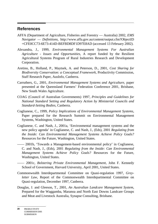## **References**

- AFFA (Department of Agriculture, Fisheries and Forestry Australia) 2002, *EMS Navigator — Definitions*, http://www.affa.gov.au/content/output.cfm?ObjectID =CFE0CC73-6E73-414D-BEFBD8DF1D97E8AD (accessed 13 February 2002).
- Alexandra, J., 1999, *Environmental Management Systems For Australian Agriculture - Issues and Opportunities*, A report funded by the Resilient Agricultural Systems Program of Rural Industries Research and Development Corporation.
- Aretino, B., Holland, P., Maytsek, A. and Peterson, D., 2001, *Cost Sharing for Biodiversity Conservation: a Conceptual Framework*, Productivity Commission, Staff Research Paper, AusInfo, Canberra.
- Carruthers, G., 2001, *Environmental Management Systems and Agriculture*, paper presented at the Queensland Farmers' Federation Conference 2001, Brisbane, New South Wales Agriculture.
- COAG (Council of Australian Governments) 1997, *Principles and Guidelines for National Standard Setting and Regulatory Action by Ministerial Councils and Standard-Setting Bodies*, Canberra.
- Coglianese, C., 1999, *Policy Implications of Environmental Management Systems*, Paper prepared for the Research Summit on Environmental Management Systems, Washington, United States.
- Coglianese, C. and Nash, J., 2001a, 'Environmental management systems and the new policy agenda' in Coglianese, C. and Nash, J., (Eds), 2001 *Regulating from the Inside: Can Environmental Management Systems Achieve Policy Goals?* Resources for the Future, Washington, United States.
- —— 2001b, 'Towards a Management-based environmental policy' in Coglianese, C. and Nash, J., (Eds), 2001 *Regulating from the Inside: Can Environmental Management Systems Achieve Policy Goals?* Resources for the Future, Washington, United States.
- —— 2001c, *Bolstering Private Environmental Management*, John F. Kennedy School of Government, Harvard University, April 2001, United States.
- Commonwealth Interdepartmental Committee on Quasi-regulation 1997, *Greyletter Law*, Report of the Commonwealth Interdepartmental Committee on Quasi-regulation, December 1997, Canberra.
- Douglas, J. and Gleeson, T., 2001, *An Australian Landcare Management System*, Prepared for the Waggamba, Maranoa and North East Downs Landcare Groups and Meat and Livestock Australia, Synapse Consulting, Brisbane.